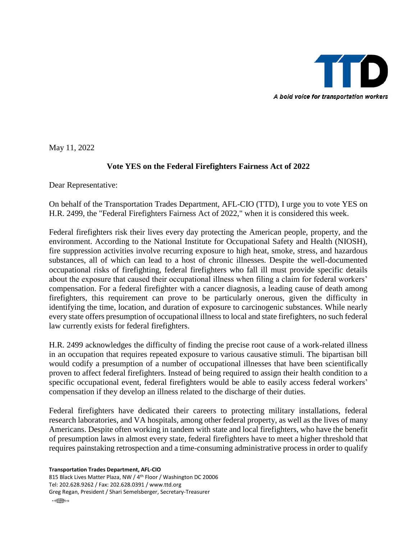

May 11, 2022

## **Vote YES on the Federal Firefighters Fairness Act of 2022**

Dear Representative:

On behalf of the Transportation Trades Department, AFL-CIO (TTD), I urge you to vote YES on H.R. 2499, the "Federal Firefighters Fairness Act of 2022," when it is considered this week.

Federal firefighters risk their lives every day protecting the American people, property, and the environment. According to the National Institute for Occupational Safety and Health (NIOSH), fire suppression activities involve recurring exposure to high heat, smoke, stress, and hazardous substances, all of which can lead to a host of chronic illnesses. Despite the well-documented occupational risks of firefighting, federal firefighters who fall ill must provide specific details about the exposure that caused their occupational illness when filing a claim for federal workers' compensation. For a federal firefighter with a cancer diagnosis, a leading cause of death among firefighters, this requirement can prove to be particularly onerous, given the difficulty in identifying the time, location, and duration of exposure to carcinogenic substances. While nearly every state offers presumption of occupational illness to local and state firefighters, no such federal law currently exists for federal firefighters.

H.R. 2499 acknowledges the difficulty of finding the precise root cause of a work-related illness in an occupation that requires repeated exposure to various causative stimuli. The bipartisan bill would codify a presumption of a number of occupational illnesses that have been scientifically proven to affect federal firefighters. Instead of being required to assign their health condition to a specific occupational event, federal firefighters would be able to easily access federal workers' compensation if they develop an illness related to the discharge of their duties.

Federal firefighters have dedicated their careers to protecting military installations, federal research laboratories, and VA hospitals, among other federal property, as well as the lives of many Americans. Despite often working in tandem with state and local firefighters, who have the benefit of presumption laws in almost every state, federal firefighters have to meet a higher threshold that requires painstaking retrospection and a time-consuming administrative process in order to qualify

**Transportation Trades Department, AFL-CIO**

815 Black Lives Matter Plaza, NW / 4th Floor / Washington DC 20006 Tel: 202.628.9262 / Fax: 202.628.0391 / www.ttd.org Greg Regan, President / Shari Semelsberger, Secretary-Treasurer